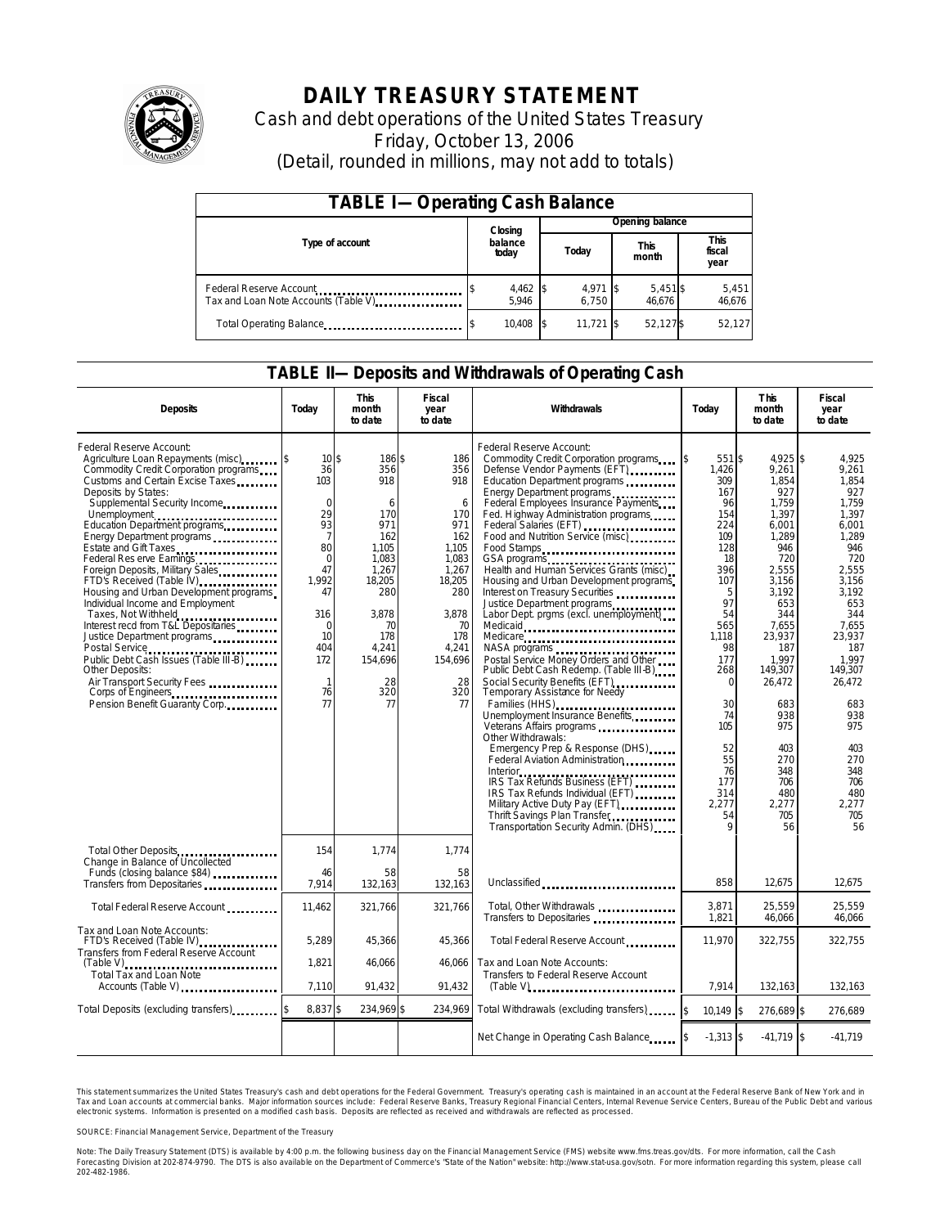

# **DAILY TREASURY STATEMENT**

Cash and debt operations of the United States Treasury Friday, October 13, 2006 (Detail, rounded in millions, may not add to totals)

| <b>TABLE I-Operating Cash Balance</b>                            |                  |                     |       |                     |                      |                      |  |                        |
|------------------------------------------------------------------|------------------|---------------------|-------|---------------------|----------------------|----------------------|--|------------------------|
|                                                                  |                  | Closing             |       | Opening balance     |                      |                      |  |                        |
| Type of account                                                  | balance<br>today |                     | Today |                     | <b>This</b><br>month |                      |  | This<br>fiscal<br>year |
| Federal Reserve Account<br>Tax and Loan Note Accounts (Table V). |                  | $4,462$ \$<br>5.946 |       | $4,971$ \$<br>6.750 |                      | $5,451$ \$<br>46.676 |  | 5,451<br>46,676        |
| Total Operating Balance                                          |                  | 10.408              |       | $11.721$ \$         |                      | 52,127\$             |  | 52,127                 |

#### **TABLE II—Deposits and Withdrawals of Operating Cash**

| <b>Deposits</b>                                                                                                                                                                                                                                                                                                                                                                                                                                                                                                                                                                                                                                                                                                                                                                  | Today                                                                                                                                                                                               | <b>This</b><br>month<br>to date                                                                                                                         | <b>Fiscal</b><br>year<br>to date                                                                                                                     | Withdrawals                                                                                                                                                                                                                                                                                                                                                                                                                                                                                                                                                                                                                                                                                                                                                                                                                                                                                                                                                                                                                                                                                       | <b>This</b><br>Today<br>month<br>to date                                                                                                                                                                                                      |                                                                                                                                                                                                                                                                    | Fiscal<br>year<br>to date                                                                                                                                                                                                                                       |
|----------------------------------------------------------------------------------------------------------------------------------------------------------------------------------------------------------------------------------------------------------------------------------------------------------------------------------------------------------------------------------------------------------------------------------------------------------------------------------------------------------------------------------------------------------------------------------------------------------------------------------------------------------------------------------------------------------------------------------------------------------------------------------|-----------------------------------------------------------------------------------------------------------------------------------------------------------------------------------------------------|---------------------------------------------------------------------------------------------------------------------------------------------------------|------------------------------------------------------------------------------------------------------------------------------------------------------|---------------------------------------------------------------------------------------------------------------------------------------------------------------------------------------------------------------------------------------------------------------------------------------------------------------------------------------------------------------------------------------------------------------------------------------------------------------------------------------------------------------------------------------------------------------------------------------------------------------------------------------------------------------------------------------------------------------------------------------------------------------------------------------------------------------------------------------------------------------------------------------------------------------------------------------------------------------------------------------------------------------------------------------------------------------------------------------------------|-----------------------------------------------------------------------------------------------------------------------------------------------------------------------------------------------------------------------------------------------|--------------------------------------------------------------------------------------------------------------------------------------------------------------------------------------------------------------------------------------------------------------------|-----------------------------------------------------------------------------------------------------------------------------------------------------------------------------------------------------------------------------------------------------------------|
| Federal Reserve Account:<br>Agriculture Loan Repayments (misc) [5]<br>Commodity Credit Corporation programs<br>Customs and Certain Excise Taxes<br>Deposits by States:<br>Supplemental Security Income<br>Unemployment<br>Education Department programs<br>Energy Department programs<br>Estate and Gift Taxes<br><br>Federal Res erve Earnings<br>Foreign Deposits, Military Sales<br>FTD's Received (Table IV) <b>FTD</b> 's Received (Table IV)<br>Housing and Urban Development programs<br>Individual Income and Employment<br>Taxes, Not Withheld<br>Interest recd from T&L Depositaries<br>Justice Department programs<br>Public Debt Cash Issues (Table III-B)<br>Other Deposits:<br>Air Transport Security Fees<br>Corps of Engineers<br>Pension Benefit Guaranty Corp. | 10 <sup>5</sup><br>36<br>103<br>$\mathbf 0$<br>29<br>$\overline{93}$<br>$\overline{7}$<br>80<br>$\mathbf 0$<br>47<br>1.992<br>47<br>316<br>$\Omega$<br>10<br>404<br>172<br>$\mathbf{1}$<br>76<br>77 | 186 \$<br>356<br>918<br>6<br>170<br>971<br>162<br>1.105<br>1,083<br>1.267<br>18,205<br>280<br>3,878<br>70<br>178<br>4.241<br>154,696<br>28<br>320<br>77 | 186<br>356<br>918<br>6<br>170<br>971<br>162<br>1.105<br>1,083<br>1.267<br>18,205<br>280<br>3,878<br>70<br>178<br>4.241<br>154,696<br>28<br>320<br>77 | Federal Reserve Account:<br>Commodity Credit Corporation programs<br>Defense Vendor Payments (EFT)<br>Education Department programs<br>Energy Department programs<br>Federal Employees Insurance Payments<br>Fed. Highway Administration programs<br>Federal Salaries (EFT)<br>Food and Nutrition Service (misc)<br>Food Stamps<br>Health and Human Services Grants (misc)<br>Housing and Urban Development programs<br>Interest on Treasury Securities<br>Justice Department programs<br>Labor Dept. prgms (excl. unemployment)<br>Medicaid<br>Medicare<br>Postal Service Money Orders and Other<br>Public Debt Cash Redemp. (Table III-B)<br>Social Security Benefits (EFT)<br><br>Temporary Assistance for Needy<br>Families (HHS)<br>Unemployment Insurance Benefits<br>Veterans Affairs programs<br>Other Withdrawals:<br>Emergency Prep & Response (DHS)<br>Federal Aviation Administration<br>Interior<br>IRS Tax Refunds Business (EFT)<br><br>IRS Tax Refunds Individual (EFT)<br>Military Active Duty Pay (EFT)<br>Thrift Savings Plan Transfer<br>Transportation Security Admin. (DHS) | 551 \$<br>\$<br>1,426<br>309<br>167<br>96<br>154<br>224<br>109<br>128<br>18<br>396<br>107<br>5<br>97<br>54<br>565<br>1,118<br>98<br>177<br>268<br>$\Omega$<br>30<br>74<br>10 <sub>5</sub><br>52<br>55<br>76<br>177<br>314<br>2.277<br>54<br>9 | 4,925 \$<br>9,261<br>1,854<br>927<br>1,759<br>1.397<br>6,001<br>1,289<br>946<br>720<br>2.555<br>3,156<br>3.192<br>653<br>344<br>7.655<br>23,937<br>187<br>1.997<br>149.307<br>26,472<br>683<br>938<br>975<br>403<br>270<br>348<br>706<br>480<br>2,277<br>705<br>56 | 4,925<br>9,261<br>1.854<br>927<br>1.759<br>1.397<br>6,001<br>1,289<br>946<br>720<br>2.555<br>3.156<br>3.192<br>653<br>344<br>7.655<br>23,937<br>187<br>1.997<br>149.307<br>26,472<br>683<br>938<br>975<br>403<br>270<br>348<br>706<br>480<br>2.277<br>705<br>56 |
| Total Other Deposits<br>Change in Balance of Uncollected<br>Funds (closing balance \$84)                                                                                                                                                                                                                                                                                                                                                                                                                                                                                                                                                                                                                                                                                         | 154<br>46                                                                                                                                                                                           | 1,774<br>58                                                                                                                                             | 1,774<br>58                                                                                                                                          |                                                                                                                                                                                                                                                                                                                                                                                                                                                                                                                                                                                                                                                                                                                                                                                                                                                                                                                                                                                                                                                                                                   |                                                                                                                                                                                                                                               |                                                                                                                                                                                                                                                                    |                                                                                                                                                                                                                                                                 |
| Transfers from Depositaries                                                                                                                                                                                                                                                                                                                                                                                                                                                                                                                                                                                                                                                                                                                                                      | 7,914                                                                                                                                                                                               | 132.163                                                                                                                                                 | 132.163                                                                                                                                              | Unclassified                                                                                                                                                                                                                                                                                                                                                                                                                                                                                                                                                                                                                                                                                                                                                                                                                                                                                                                                                                                                                                                                                      | 858                                                                                                                                                                                                                                           | 12,675                                                                                                                                                                                                                                                             | 12,675                                                                                                                                                                                                                                                          |
| Total Federal Reserve Account                                                                                                                                                                                                                                                                                                                                                                                                                                                                                                                                                                                                                                                                                                                                                    | 11,462                                                                                                                                                                                              | 321,766                                                                                                                                                 | 321.766                                                                                                                                              | Total, Other Withdrawals<br>Transfers to Depositaries                                                                                                                                                                                                                                                                                                                                                                                                                                                                                                                                                                                                                                                                                                                                                                                                                                                                                                                                                                                                                                             | 3.871<br>1,821                                                                                                                                                                                                                                | 25.559<br>46,066                                                                                                                                                                                                                                                   | 25.559<br>46,066                                                                                                                                                                                                                                                |
| Tax and Loan Note Accounts:<br>FTD's Received (Table IV)<br>Transfers from Federal Reserve Account                                                                                                                                                                                                                                                                                                                                                                                                                                                                                                                                                                                                                                                                               | 5,289                                                                                                                                                                                               | 45,366                                                                                                                                                  | 45,366                                                                                                                                               | Total Federal Reserve Account                                                                                                                                                                                                                                                                                                                                                                                                                                                                                                                                                                                                                                                                                                                                                                                                                                                                                                                                                                                                                                                                     | 11,970                                                                                                                                                                                                                                        | 322,755                                                                                                                                                                                                                                                            | 322,755                                                                                                                                                                                                                                                         |
| Total Tax and Loan Note<br>Accounts (Table V)                                                                                                                                                                                                                                                                                                                                                                                                                                                                                                                                                                                                                                                                                                                                    | 1,821<br>7.110                                                                                                                                                                                      | 46,066<br>91.432                                                                                                                                        | 46.066<br>91,432                                                                                                                                     | Tax and Loan Note Accounts:<br>Transfers to Federal Reserve Account                                                                                                                                                                                                                                                                                                                                                                                                                                                                                                                                                                                                                                                                                                                                                                                                                                                                                                                                                                                                                               | 7.914                                                                                                                                                                                                                                         | 132.163                                                                                                                                                                                                                                                            | 132.163                                                                                                                                                                                                                                                         |
| Total Deposits (excluding transfers)                                                                                                                                                                                                                                                                                                                                                                                                                                                                                                                                                                                                                                                                                                                                             | 8,837\$                                                                                                                                                                                             | 234,969 \$                                                                                                                                              | 234,969                                                                                                                                              | Total Withdrawals (excluding transfers)                                                                                                                                                                                                                                                                                                                                                                                                                                                                                                                                                                                                                                                                                                                                                                                                                                                                                                                                                                                                                                                           | $10.149$ \$<br><sup>\$</sup>                                                                                                                                                                                                                  | 276,689 \$                                                                                                                                                                                                                                                         | 276.689                                                                                                                                                                                                                                                         |
|                                                                                                                                                                                                                                                                                                                                                                                                                                                                                                                                                                                                                                                                                                                                                                                  |                                                                                                                                                                                                     |                                                                                                                                                         |                                                                                                                                                      | Net Change in Operating Cash Balance                                                                                                                                                                                                                                                                                                                                                                                                                                                                                                                                                                                                                                                                                                                                                                                                                                                                                                                                                                                                                                                              | $-1,313$ \$                                                                                                                                                                                                                                   | $-41.719$ \$                                                                                                                                                                                                                                                       | $-41.719$                                                                                                                                                                                                                                                       |

This statement summarizes the United States Treasury's cash and debt operations for the Federal Government. Treasury's operating cash is maintained in an account at the Federal Reserve Bank of New York and in Tax and Loan accounts at commercial banks. Major information sources include: Federal Reserve Banks, Treasury Regional Financial Centers, Internal Revenue Service Centers, Bureau of the Public Debt and various<br>electronic s

SOURCE: Financial Management Service, Department of the Treasury

Note: The Daily Treasury Statement (DTS) is available by 4:00 p.m. the following business day on the Financial Management Service (FMS) website www.fms.treas.gov/dts. For more information, call the Cash<br>Forecasting Divisio 'S) is available by 4:00 p.m. the following business day on the Financial Management Service (FMS) website www.fms.treas.gov/dts. For more information, call the Cash<br>The DTS is also available on the Department of Commerce'